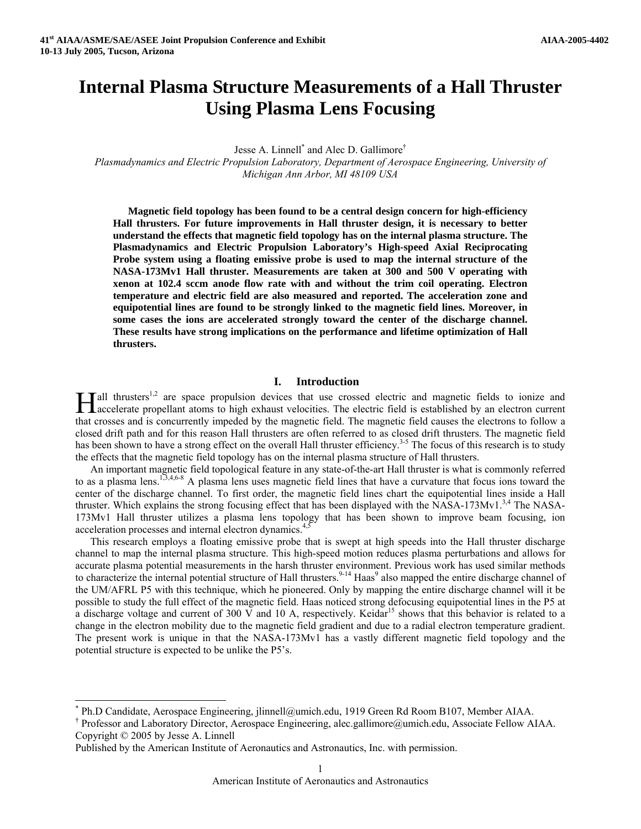# **Internal Plasma Structure Measurements of a Hall Thruster Using Plasma Lens Focusing**

Jesse A. Linnell<sup>[\\*](#page-0-0)</sup> and Alec D. Gallimore<sup>[†](#page-0-1)</sup>

*Plasmadynamics and Electric Propulsion Laboratory, Department of Aerospace Engineering, University of Michigan Ann Arbor, MI 48109 USA* 

**Magnetic field topology has been found to be a central design concern for high-efficiency Hall thrusters. For future improvements in Hall thruster design, it is necessary to better understand the effects that magnetic field topology has on the internal plasma structure. The Plasmadynamics and Electric Propulsion Laboratory's High-speed Axial Reciprocating Probe system using a floating emissive probe is used to map the internal structure of the NASA-173Mv1 Hall thruster. Measurements are taken at 300 and 500 V operating with xenon at 102.4 sccm anode flow rate with and without the trim coil operating. Electron temperature and electric field are also measured and reported. The acceleration zone and equipotential lines are found to be strongly linked to the magnetic field lines. Moreover, in some cases the ions are accelerated strongly toward the center of the discharge channel. These results have strong implications on the performance and lifetime optimization of Hall thrusters.** 

# **I. Introduction**

**Hall thrusters**<sup>1,2</sup> are space propulsion devices that use crossed electric and magnetic fields to ionize and accelerate propellant atoms to high exhaust velocities. The electric field is established by an electron curren accelerate propellant atoms to high exhaust velocities. The electric field is established by an electron current that crosses and is concurrently impeded by the magnetic field. The magnetic field causes the electrons to follow a closed drift path and for this reason Hall thrusters are often referred to as closed drift thrusters. The magnetic field has been shown to have a strong effect on the overall Hall thruster efficiency.<sup>3-5</sup> The focus of this research is to study the effects that the magnetic field topology has on the internal plasma structure of Hall thrusters.

An important magnetic field topological feature in any state-of-the-art Hall thruster is what is commonly referred to as a plasma lens.<sup>1,3,4,6-8</sup> A plasma lens uses magnetic field lines that have a curvature that focus ions toward the center of the discharge channel. To first order, the magnetic field lines chart the equipotential lines inside a Hall thruster. Which explains the strong focusing effect that has been displayed with the NASA-173Mv1.<sup>3,4</sup> The NASA-173Mv1 Hall thruster utilizes a plasma lens topology that has been shown to improve beam focusing, ion acceleration processes and internal electron dynamics.<sup>4,5</sup>

This research employs a floating emissive probe that is swept at high speeds into the Hall thruster discharge channel to map the internal plasma structure. This high-speed motion reduces plasma perturbations and allows for accurate plasma potential measurements in the harsh thruster environment. Previous work has used similar methods to characterize the internal potential structure of Hall thrusters.<sup>9-14</sup> Haas<sup>9</sup> also mapped the entire discharge channel of the UM/AFRL P5 with this technique, which he pioneered. Only by mapping the entire discharge channel will it be possible to study the full effect of the magnetic field. Haas noticed strong defocusing equipotential lines in the P5 at a discharge voltage and current of 300 V and 10 A, respectively. Keidar<sup>15</sup> shows that this behavior is related to a change in the electron mobility due to the magnetic field gradient and due to a radial electron temperature gradient. The present work is unique in that the NASA-173Mv1 has a vastly different magnetic field topology and the potential structure is expected to be unlike the P5's.

<span id="page-0-1"></span> Professor and Laboratory Director, Aerospace Engineering, alec.gallimore@umich.edu, Associate Fellow AIAA. Copyright © 2005 by Jesse A. Linnell

<span id="page-0-0"></span> <sup>\*</sup> Ph.D Candidate, Aerospace Engineering, jlinnell@umich.edu, 1919 Green Rd Room B107, Member AIAA. †

Published by the American Institute of Aeronautics and Astronautics, Inc. with permission.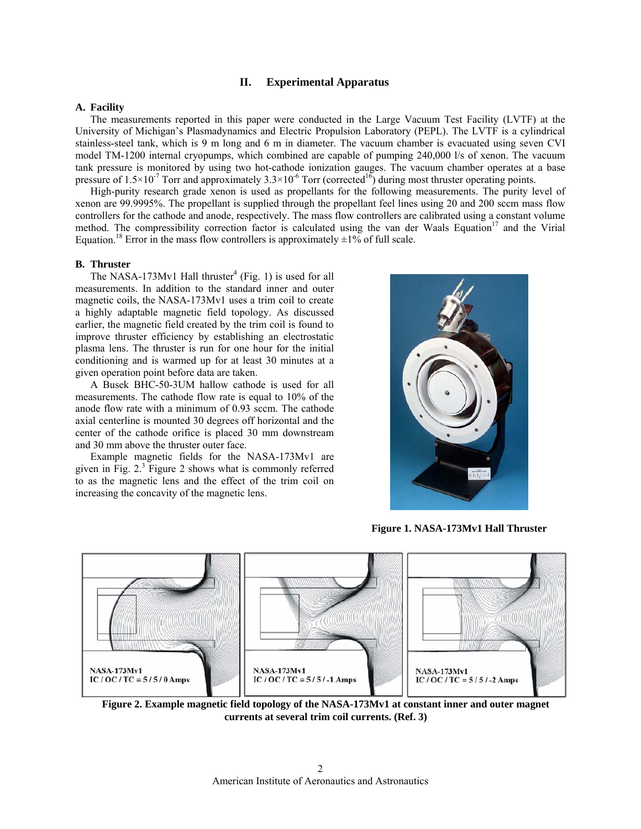# **II. Experimental Apparatus**

# **A. Facility**

The measurements reported in this paper were conducted in the Large Vacuum Test Facility (LVTF) at the University of Michigan's Plasmadynamics and Electric Propulsion Laboratory (PEPL). The LVTF is a cylindrical stainless-steel tank, which is 9 m long and 6 m in diameter. The vacuum chamber is evacuated using seven CVI model TM-1200 internal cryopumps, which combined are capable of pumping 240,000 l/s of xenon. The vacuum tank pressure is monitored by using two hot-cathode ionization gauges. The vacuum chamber operates at a base pressure of  $1.5 \times 10^{-7}$  Torr and approximately  $3.3 \times 10^{-6}$  Torr (corrected<sup>16</sup>) during most thruster operating points.

High-purity research grade xenon is used as propellants for the following measurements. The purity level of xenon are 99.9995%. The propellant is supplied through the propellant feel lines using 20 and 200 sccm mass flow controllers for the cathode and anode, respectively. The mass flow controllers are calibrated using a constant volume method. The compressibility correction factor is calculated using the van der Waals Equation<sup>17</sup> and the Virial Equation.<sup>18</sup> Error in the mass flow controllers is approximately  $\pm 1\%$  of full scale.

# **B. Thruster**

The NASA-173Mv1 Hall thruster<sup>4</sup> (Fig. 1) is used for all measurements. In addition to the standard inner and outer magnetic coils, the NASA-173Mv1 uses a trim coil to create a highly adaptable magnetic field topology. As discussed earlier, the magnetic field created by the trim coil is found to improve thruster efficiency by establishing an electrostatic plasma lens. The thruster is run for one hour for the initial conditioning and is warmed up for at least 30 minutes at a given operation point before data are taken.

A Busek BHC-50-3UM hallow cathode is used for all measurements. The cathode flow rate is equal to 10% of the anode flow rate with a minimum of 0.93 sccm. The cathode axial centerline is mounted 30 degrees off horizontal and the center of the cathode orifice is placed 30 mm downstream and 30 mm above the thruster outer face.

Example magnetic fields for the NASA-173Mv1 are given in Fig. 2. 3 Figure 2 shows what is commonly referred to as the magnetic lens and the effect of the trim coil on increasing the concavity of the magnetic lens.



**Figure 1. NASA-173Mv1 Hall Thruster**



**Figure 2. Example magnetic field topology of the NASA-173Mv1 at constant inner and outer magnet currents at several trim coil currents. (Ref. 3)**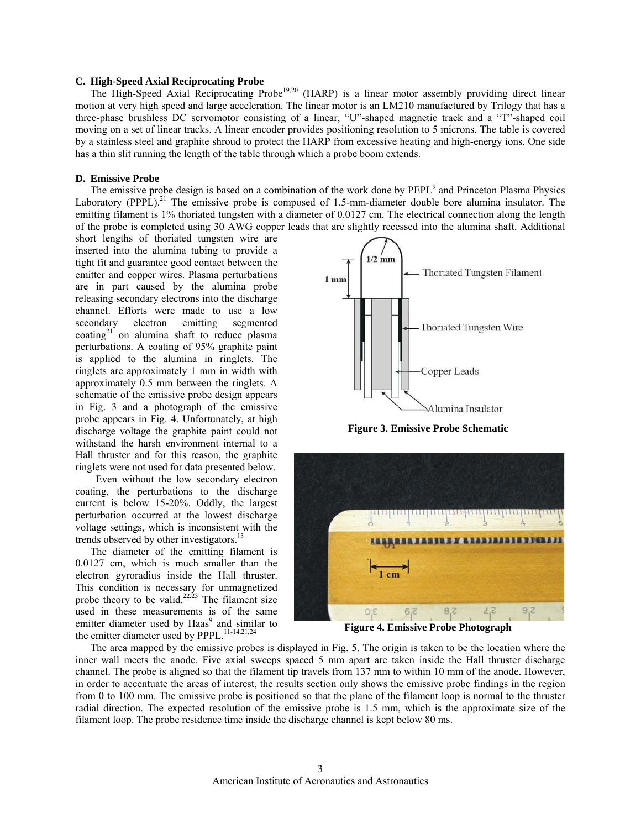## **C. High-Speed Axial Reciprocating Probe**

The High-Speed Axial Reciprocating Probe19,20 (HARP) is a linear motor assembly providing direct linear motion at very high speed and large acceleration. The linear motor is an LM210 manufactured by Trilogy that has a three-phase brushless DC servomotor consisting of a linear, "U"-shaped magnetic track and a "T"-shaped coil moving on a set of linear tracks. A linear encoder provides positioning resolution to 5 microns. The table is covered by a stainless steel and graphite shroud to protect the HARP from excessive heating and high-energy ions. One side has a thin slit running the length of the table through which a probe boom extends.

# **D. Emissive Probe**

The emissive probe design is based on a combination of the work done by PEPL<sup>9</sup> and Princeton Plasma Physics Laboratory (PPPL).<sup>21</sup> The emissive probe is composed of 1.5-mm-diameter double bore alumina insulator. The emitting filament is 1% thoriated tungsten with a diameter of 0.0127 cm. The electrical connection along the length of the probe is completed using 30 AWG copper leads that are slightly recessed into the alumina shaft. Additional

short lengths of thoriated tungsten wire are inserted into the alumina tubing to provide a tight fit and guarantee good contact between the emitter and copper wires. Plasma perturbations are in part caused by the alumina probe releasing secondary electrons into the discharge channel. Efforts were made to use a low secondary electron emitting segmented coating<sup>21</sup> on alumina shaft to reduce plasma perturbations. A coating of 95% graphite paint is applied to the alumina in ringlets. The ringlets are approximately 1 mm in width with approximately 0.5 mm between the ringlets. A schematic of the emissive probe design appears in Fig. 3 and a photograph of the emissive probe appears in Fig. 4. Unfortunately, at high discharge voltage the graphite paint could not withstand the harsh environment internal to a Hall thruster and for this reason, the graphite ringlets were not used for data presented below.

Even without the low secondary electron coating, the perturbations to the discharge current is below 15-20%. Oddly, the largest perturbation occurred at the lowest discharge voltage settings, which is inconsistent with the trends observed by other investigators.<sup>13</sup>

The diameter of the emitting filament is 0.0127 cm, which is much smaller than the electron gyroradius inside the Hall thruster. This condition is necessary for unmagnetized probe theory to be valid.<sup>22,23</sup> The filament size used in these measurements is of the same emitter diameter used by Haas<sup>9</sup> and similar to the emitter diameter used by PPPL.<sup>11-14,21,24</sup>



**Figure 3. Emissive Probe Schematic** 



The area mapped by the emissive probes is displayed in Fig. 5. The origin is taken to be the location where the inner wall meets the anode. Five axial sweeps spaced 5 mm apart are taken inside the Hall thruster discharge channel. The probe is aligned so that the filament tip travels from 137 mm to within 10 mm of the anode. However, in order to accentuate the areas of interest, the results section only shows the emissive probe findings in the region from 0 to 100 mm. The emissive probe is positioned so that the plane of the filament loop is normal to the thruster radial direction. The expected resolution of the emissive probe is 1.5 mm, which is the approximate size of the filament loop. The probe residence time inside the discharge channel is kept below 80 ms.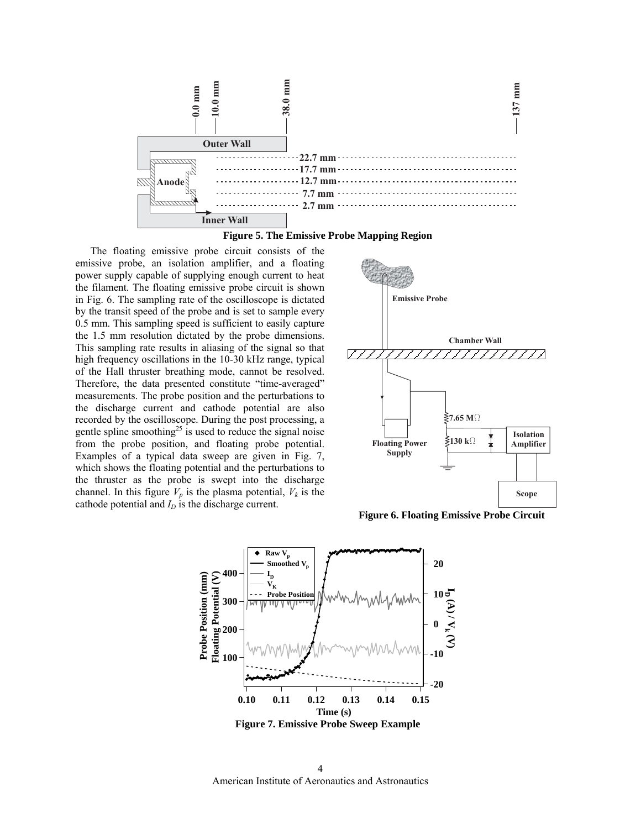



The floating emissive probe circuit consists of the emissive probe, an isolation amplifier, and a floating power supply capable of supplying enough current to heat the filament. The floating emissive probe circuit is shown in Fig. 6. The sampling rate of the oscilloscope is dictated by the transit speed of the probe and is set to sample every 0.5 mm. This sampling speed is sufficient to easily capture the 1.5 mm resolution dictated by the probe dimensions. This sampling rate results in aliasing of the signal so that high frequency oscillations in the 10-30 kHz range, typical of the Hall thruster breathing mode, cannot be resolved. Therefore, the data presented constitute "time-averaged" measurements. The probe position and the perturbations to the discharge current and cathode potential are also recorded by the oscilloscope. During the post processing, a gentle spline smoothing<sup>25</sup> is used to reduce the signal noise from the probe position, and floating probe potential. Examples of a typical data sweep are given in Fig. 7, which shows the floating potential and the perturbations to the thruster as the probe is swept into the discharge channel. In this figure  $V_p$  is the plasma potential,  $V_k$  is the cathode potential and  $I_D$  is the discharge current.



**Figure 6. Floating Emissive Probe Circuit**



American Institute of Aeronautics and Astronautics 4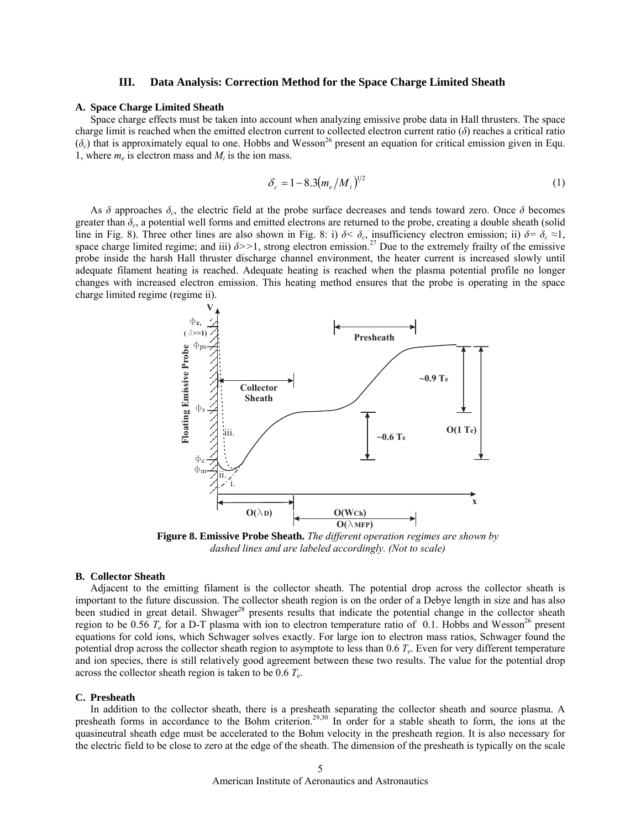## **III. Data Analysis: Correction Method for the Space Charge Limited Sheath**

## **A. Space Charge Limited Sheath**

Space charge effects must be taken into account when analyzing emissive probe data in Hall thrusters. The space charge limit is reached when the emitted electron current to collected electron current ratio (*δ*) reaches a critical ratio  $(\delta_c)$  that is approximately equal to one. Hobbs and Wesson<sup>26</sup> present an equation for critical emission given in Equ. 1, where  $m_e$  is electron mass and  $M_i$  is the ion mass.

$$
\delta_c = 1 - 8.3 \left( m_e / M_i \right)^{1/2} \tag{1}
$$

As *δ* approaches *δc*, the electric field at the probe surface decreases and tends toward zero. Once *δ* becomes greater than *δc*, a potential well forms and emitted electrons are returned to the probe, creating a double sheath (solid line in Fig. 8). Three other lines are also shown in Fig. 8: i)  $\delta < \delta_c$ , insufficiency electron emission; ii)  $\delta = \delta_c \approx 1$ , space charge limited regime; and iii)  $\delta$ >>1, strong electron emission.<sup>27</sup> Due to the extremely frailty of the emissive probe inside the harsh Hall thruster discharge channel environment, the heater current is increased slowly until adequate filament heating is reached. Adequate heating is reached when the plasma potential profile no longer changes with increased electron emission. This heating method ensures that the probe is operating in the space charge limited regime (regime ii).



**Figure 8. Emissive Probe Sheath.** *The different operation regimes are shown by dashed lines and are labeled accordingly. (Not to scale)*

## **B. Collector Sheath**

Adjacent to the emitting filament is the collector sheath. The potential drop across the collector sheath is important to the future discussion. The collector sheath region is on the order of a Debye length in size and has also been studied in great detail. Shwager<sup>28</sup> presents results that indicate the potential change in the collector sheath region to be 0.56  $T_e$  for a D-T plasma with ion to electron temperature ratio of 0.1. Hobbs and Wesson<sup>26</sup> present equations for cold ions, which Schwager solves exactly. For large ion to electron mass ratios, Schwager found the potential drop across the collector sheath region to asymptote to less than 0.6 *Te*. Even for very different temperature and ion species, there is still relatively good agreement between these two results. The value for the potential drop across the collector sheath region is taken to be 0.6 *Te*.

# **C. Presheath**

In addition to the collector sheath, there is a presheath separating the collector sheath and source plasma. A presheath forms in accordance to the Bohm criterion.<sup>29,30</sup> In order for a stable sheath to form, the ions at the quasineutral sheath edge must be accelerated to the Bohm velocity in the presheath region. It is also necessary for the electric field to be close to zero at the edge of the sheath. The dimension of the presheath is typically on the scale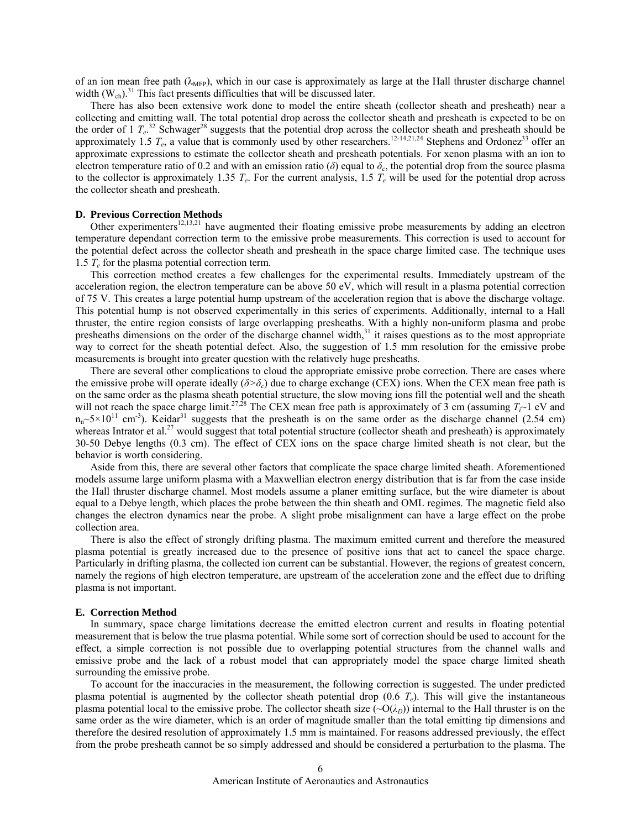of an ion mean free path  $(\lambda_{\text{MFP}})$ , which in our case is approximately as large at the Hall thruster discharge channel width  $(W_{ch})$ .<sup>31</sup> This fact presents difficulties that will be discussed later.

There has also been extensive work done to model the entire sheath (collector sheath and presheath) near a collecting and emitting wall. The total potential drop across the collector sheath and presheath is expected to be on the order of 1  $T_e$ .<sup>32</sup> Schwager<sup>28</sup> suggests that the potential drop across the collector sheath and presheath should be approximately 1.5  $T_e$ , a value that is commonly used by other researchers.<sup>12-14,21,24</sup> Stephens and Ordonez<sup>33</sup> offer an approximate expressions to estimate the collector sheath and presheath potentials. For xenon plasma with an ion to electron temperature ratio of 0.2 and with an emission ratio ( $\delta$ ) equal to  $\delta_c$ , the potential drop from the source plasma to the collector is approximately 1.35  $T_e$ . For the current analysis, 1.5  $T_e$  will be used for the potential drop across the collector sheath and presheath.

## **D. Previous Correction Methods**

Other experimenters<sup>12,13,21</sup> have augmented their floating emissive probe measurements by adding an electron temperature dependant correction term to the emissive probe measurements. This correction is used to account for the potential defect across the collector sheath and presheath in the space charge limited case. The technique uses 1.5  $T_e$  for the plasma potential correction term.

This correction method creates a few challenges for the experimental results. Immediately upstream of the acceleration region, the electron temperature can be above 50 eV, which will result in a plasma potential correction of 75 V. This creates a large potential hump upstream of the acceleration region that is above the discharge voltage. This potential hump is not observed experimentally in this series of experiments. Additionally, internal to a Hall thruster, the entire region consists of large overlapping presheaths. With a highly non-uniform plasma and probe presheaths dimensions on the order of the discharge channel width,<sup>31</sup> it raises questions as to the most appropriate way to correct for the sheath potential defect. Also, the suggestion of 1.5 mm resolution for the emissive probe measurements is brought into greater question with the relatively huge presheaths.

There are several other complications to cloud the appropriate emissive probe correction. There are cases where the emissive probe will operate ideally  $(\delta > \delta_c)$  due to charge exchange (CEX) ions. When the CEX mean free path is on the same order as the plasma sheath potential structure, the slow moving ions fill the potential well and the sheath will not reach the space charge limit.<sup>27,28</sup> The CEX mean free path is approximately of 3 cm (assuming  $T<sub>i</sub>$  eV and  $n_n \sim 5 \times 10^{11}$  cm<sup>-3</sup>). Keidar<sup>31</sup> suggests that the presheath is on the same order as the discharge channel (2.54 cm) whereas Intrator et al.<sup>27</sup> would suggest that total potential structure (collector sheath and presheath) is approximately 30-50 Debye lengths (0.3 cm). The effect of CEX ions on the space charge limited sheath is not clear, but the behavior is worth considering.

Aside from this, there are several other factors that complicate the space charge limited sheath. Aforementioned models assume large uniform plasma with a Maxwellian electron energy distribution that is far from the case inside the Hall thruster discharge channel. Most models assume a planer emitting surface, but the wire diameter is about equal to a Debye length, which places the probe between the thin sheath and OML regimes. The magnetic field also changes the electron dynamics near the probe. A slight probe misalignment can have a large effect on the probe collection area.

There is also the effect of strongly drifting plasma. The maximum emitted current and therefore the measured plasma potential is greatly increased due to the presence of positive ions that act to cancel the space charge. Particularly in drifting plasma, the collected ion current can be substantial. However, the regions of greatest concern, namely the regions of high electron temperature, are upstream of the acceleration zone and the effect due to drifting plasma is not important.

#### **E. Correction Method**

In summary, space charge limitations decrease the emitted electron current and results in floating potential measurement that is below the true plasma potential. While some sort of correction should be used to account for the effect, a simple correction is not possible due to overlapping potential structures from the channel walls and emissive probe and the lack of a robust model that can appropriately model the space charge limited sheath surrounding the emissive probe.

To account for the inaccuracies in the measurement, the following correction is suggested. The under predicted plasma potential is augmented by the collector sheath potential drop  $(0.6 T_e)$ . This will give the instantaneous plasma potential local to the emissive probe. The collector sheath size  $(\sim O(\lambda_D))$  internal to the Hall thruster is on the same order as the wire diameter, which is an order of magnitude smaller than the total emitting tip dimensions and therefore the desired resolution of approximately 1.5 mm is maintained. For reasons addressed previously, the effect from the probe presheath cannot be so simply addressed and should be considered a perturbation to the plasma. The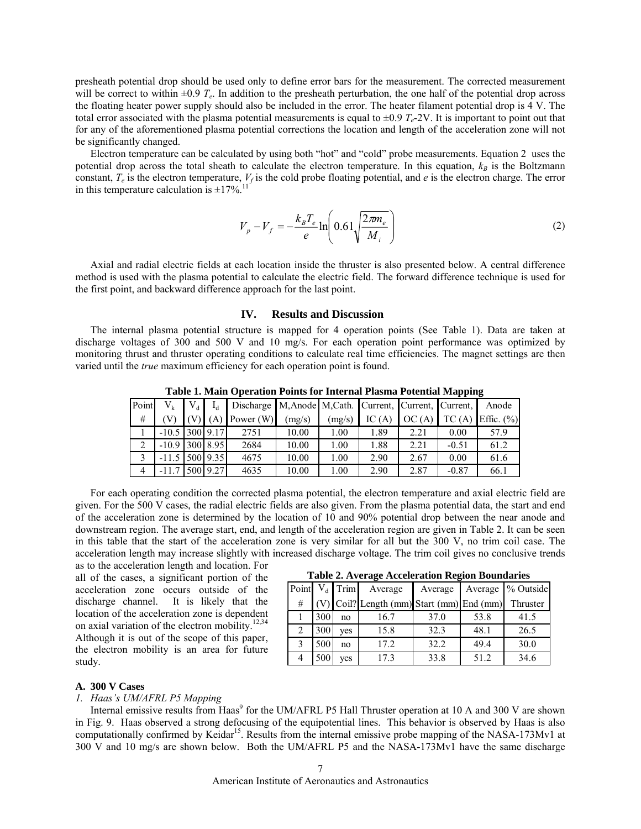presheath potential drop should be used only to define error bars for the measurement. The corrected measurement will be correct to within  $\pm 0.9$   $T_e$ . In addition to the presheath perturbation, the one half of the potential drop across the floating heater power supply should also be included in the error. The heater filament potential drop is 4 V. The total error associated with the plasma potential measurements is equal to  $\pm 0.9 T_e$ -2V. It is important to point out that for any of the aforementioned plasma potential corrections the location and length of the acceleration zone will not be significantly changed.

Electron temperature can be calculated by using both "hot" and "cold" probe measurements. Equation 2 uses the potential drop across the total sheath to calculate the electron temperature. In this equation,  $k_B$  is the Boltzmann constant,  $T_e$  is the electron temperature,  $V_f$  is the cold probe floating potential, and  $e$  is the electron charge. The error in this temperature calculation is  $\pm 17\%$ <sup>11</sup>

$$
V_{p} - V_{f} = -\frac{k_{B}T_{e}}{e} \ln\left(0.61\sqrt{\frac{2\pi m_{e}}{M_{i}}}\right)
$$
 (2)

Axial and radial electric fields at each location inside the thruster is also presented below. A central difference method is used with the plasma potential to calculate the electric field. The forward difference technique is used for the first point, and backward difference approach for the last point.

# **IV. Results and Discussion**

The internal plasma potential structure is mapped for 4 operation points (See Table 1). Data are taken at discharge voltages of 300 and 500 V and 10 mg/s. For each operation point performance was optimized by monitoring thrust and thruster operating conditions to calculate real time efficiencies. The magnet settings are then varied until the *true* maximum efficiency for each operation point is found.

|  | Point | $V_{k}$              | $V_{d}$ |          | Discharge M, Anode M, Cath. Current, Current, Current, |        |        |        |       |         | Anode          |
|--|-------|----------------------|---------|----------|--------------------------------------------------------|--------|--------|--------|-------|---------|----------------|
|  | #     |                      |         |          | Power (W)                                              | (mg/s) | (mg/s) | IC (A) | OC(A) | TC(A)   | Effic. $(\% )$ |
|  |       | $-10.5$   300   9.17 |         |          | 2751                                                   | 10.00  | 1.00   | 1.89   | 2.21  | 0.00    | 57.9           |
|  |       | $-10.9$   300   8.95 |         |          | 2684                                                   | 10.00  | 1.00   | 1.88   | 2.21  | $-0.51$ | 61.2           |
|  |       | $-11.5$              |         | 500 9.35 | 4675                                                   | 10.00  | 1.00   | 2.90   | 2.67  | 0.00    | 61.6           |
|  | 4     | $-11.7$              |         | 500 9.27 | 4635                                                   | 10.00  | 1.00   | 2.90   | 2.87  | $-0.87$ | 66.1           |

**Table 1. Main Operation Points for Internal Plasma Potential Mapping** 

For each operating condition the corrected plasma potential, the electron temperature and axial electric field are given. For the 500 V cases, the radial electric fields are also given. From the plasma potential data, the start and end of the acceleration zone is determined by the location of 10 and 90% potential drop between the near anode and downstream region. The average start, end, and length of the acceleration region are given in Table 2. It can be seen in this table that the start of the acceleration zone is very similar for all but the 300 V, no trim coil case. The acceleration length may increase slightly with increased discharge voltage. The trim coil gives no conclusive trends

as to the acceleration length and location. For all of the cases, a significant portion of the acceleration zone occurs outside of the discharge channel. It is likely that the location of the acceleration zone is dependent on axial variation of the electron mobility.<sup>12,34</sup> Although it is out of the scope of this paper, the electron mobility is an area for future

## **Table 2. Average Acceleration Region Boundaries**

| Tubic 2. If younge interference integral Doumantes |                  |     |                                           |      |      |                             |  |  |  |  |
|----------------------------------------------------|------------------|-----|-------------------------------------------|------|------|-----------------------------|--|--|--|--|
|                                                    | Point $V_d$ Trim |     | Average                                   |      |      | Average   Average % Outside |  |  |  |  |
| #                                                  |                  |     | (V) Coil? Length (mm) Start (mm) End (mm) |      |      | Thruster                    |  |  |  |  |
|                                                    | 300              | no  | 16.7                                      | 37.0 | 53.8 | 41.5                        |  |  |  |  |
| 2                                                  | 300              | ves | 15.8                                      | 32.3 | 48.1 | 26.5                        |  |  |  |  |
|                                                    | 500              | no  | 17.2                                      | 32.2 | 49.4 | 30.0                        |  |  |  |  |
|                                                    | 500              | ves | 17.3                                      | 33.8 | 51.2 | 34.6                        |  |  |  |  |

# **A. 300 V Cases**

study.

# *1. Haas's UM/AFRL P5 Mapping*

Internal emissive results from Haas<sup>9</sup> for the UM/AFRL P5 Hall Thruster operation at 10 A and 300 V are shown in Fig. 9. Haas observed a strong defocusing of the equipotential lines. This behavior is observed by Haas is also computationally confirmed by Keidar<sup>15</sup>. Results from the internal emissive probe mapping of the NASA-173Mv1 at 300 V and 10 mg/s are shown below. Both the UM/AFRL P5 and the NASA-173Mv1 have the same discharge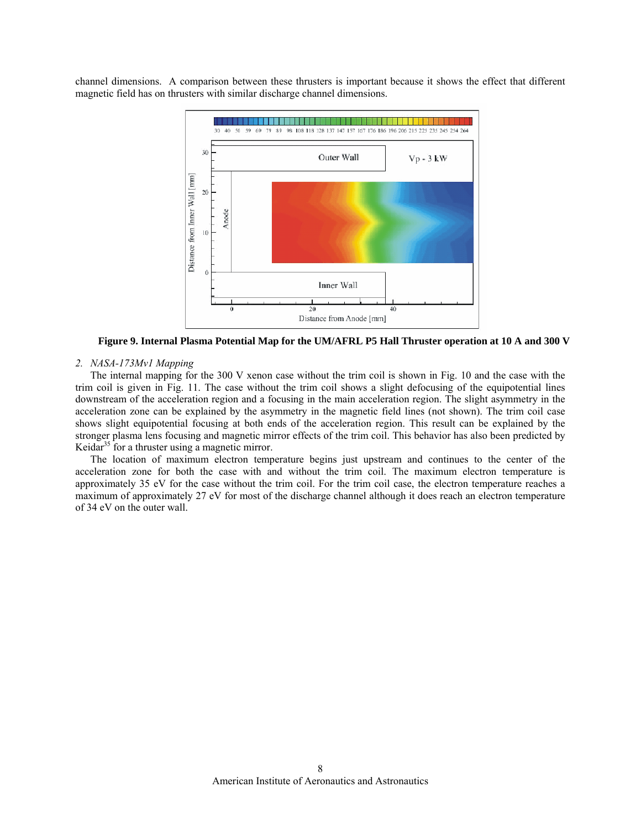channel dimensions. A comparison between these thrusters is important because it shows the effect that different magnetic field has on thrusters with similar discharge channel dimensions.



**Figure 9. Internal Plasma Potential Map for the UM/AFRL P5 Hall Thruster operation at 10 A and 300 V**

# *2. NASA-173Mv1 Mapping*

The internal mapping for the 300 V xenon case without the trim coil is shown in Fig. 10 and the case with the trim coil is given in Fig. 11. The case without the trim coil shows a slight defocusing of the equipotential lines downstream of the acceleration region and a focusing in the main acceleration region. The slight asymmetry in the acceleration zone can be explained by the asymmetry in the magnetic field lines (not shown). The trim coil case shows slight equipotential focusing at both ends of the acceleration region. This result can be explained by the stronger plasma lens focusing and magnetic mirror effects of the trim coil. This behavior has also been predicted by Keidar<sup>35</sup> for a thruster using a magnetic mirror.

The location of maximum electron temperature begins just upstream and continues to the center of the acceleration zone for both the case with and without the trim coil. The maximum electron temperature is approximately 35 eV for the case without the trim coil. For the trim coil case, the electron temperature reaches a maximum of approximately 27 eV for most of the discharge channel although it does reach an electron temperature of 34 eV on the outer wall.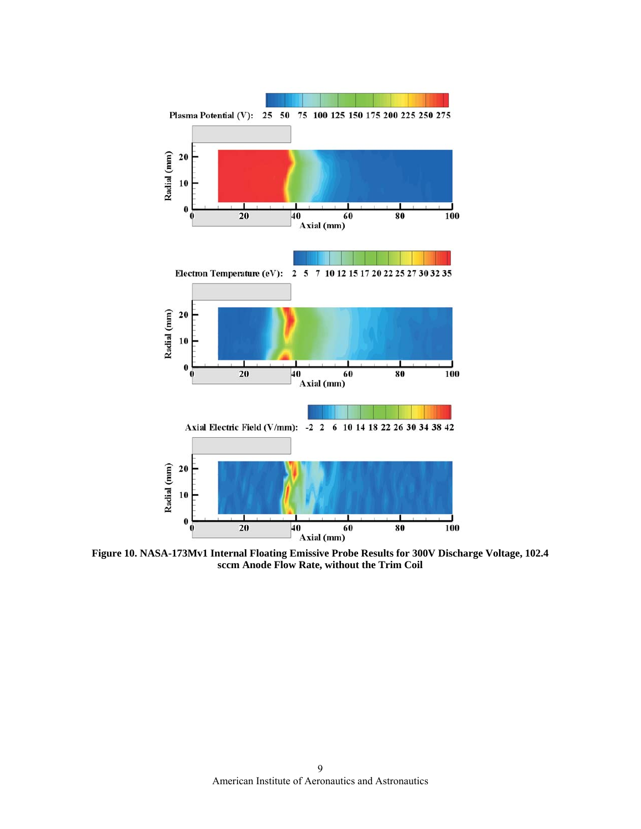

**Figure 10. NASA-173Mv1 Internal Floating Emissive Probe Results for 300V Discharge Voltage, 102.4 sccm Anode Flow Rate, without the Trim Coil**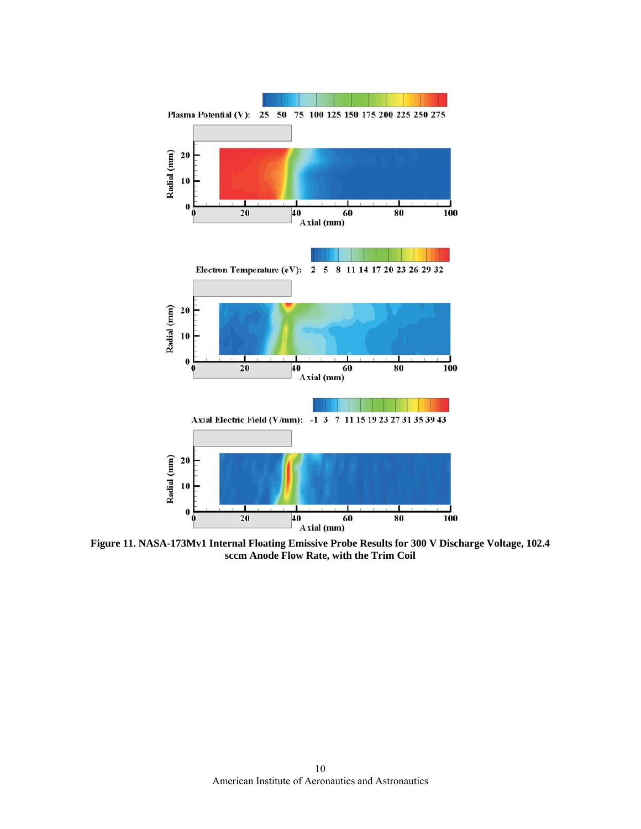

**Figure 11. NASA-173Mv1 Internal Floating Emissive Probe Results for 300 V Discharge Voltage, 102.4 sccm Anode Flow Rate, with the Trim Coil**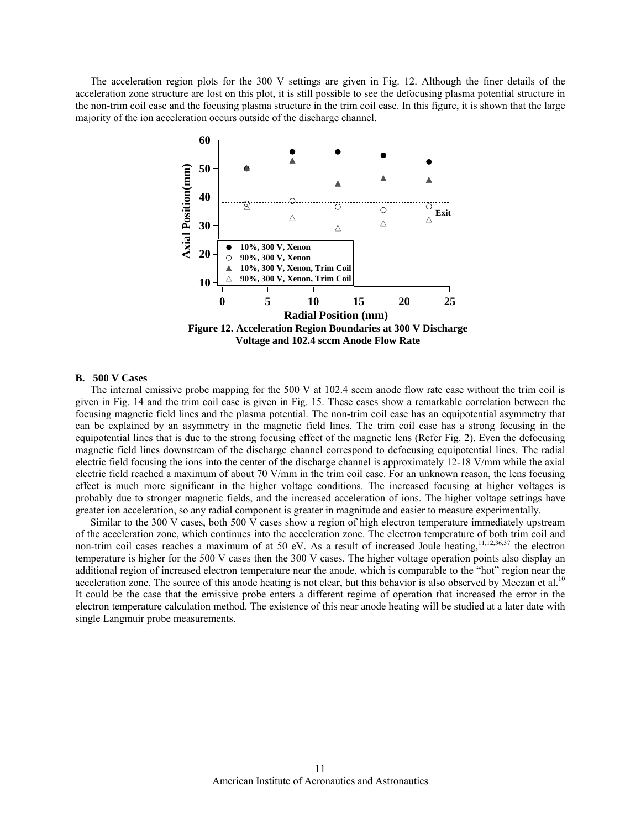The acceleration region plots for the 300 V settings are given in Fig. 12. Although the finer details of the acceleration zone structure are lost on this plot, it is still possible to see the defocusing plasma potential structure in the non-trim coil case and the focusing plasma structure in the trim coil case. In this figure, it is shown that the large majority of the ion acceleration occurs outside of the discharge channel.



# **B. 500 V Cases**

The internal emissive probe mapping for the 500 V at 102.4 sccm anode flow rate case without the trim coil is given in Fig. 14 and the trim coil case is given in Fig. 15. These cases show a remarkable correlation between the focusing magnetic field lines and the plasma potential. The non-trim coil case has an equipotential asymmetry that can be explained by an asymmetry in the magnetic field lines. The trim coil case has a strong focusing in the equipotential lines that is due to the strong focusing effect of the magnetic lens (Refer Fig. 2). Even the defocusing magnetic field lines downstream of the discharge channel correspond to defocusing equipotential lines. The radial electric field focusing the ions into the center of the discharge channel is approximately 12-18 V/mm while the axial electric field reached a maximum of about 70 V/mm in the trim coil case. For an unknown reason, the lens focusing effect is much more significant in the higher voltage conditions. The increased focusing at higher voltages is probably due to stronger magnetic fields, and the increased acceleration of ions. The higher voltage settings have greater ion acceleration, so any radial component is greater in magnitude and easier to measure experimentally.

Similar to the 300 V cases, both 500 V cases show a region of high electron temperature immediately upstream of the acceleration zone, which continues into the acceleration zone. The electron temperature of both trim coil and non-trim coil cases reaches a maximum of at 50 eV. As a result of increased Joule heating,  $11,12,36,37$  the electron temperature is higher for the 500 V cases then the 300 V cases. The higher voltage operation points also display an additional region of increased electron temperature near the anode, which is comparable to the "hot" region near the acceleration zone. The source of this anode heating is not clear, but this behavior is also observed by Meezan et al.<sup>10</sup> It could be the case that the emissive probe enters a different regime of operation that increased the error in the electron temperature calculation method. The existence of this near anode heating will be studied at a later date with single Langmuir probe measurements.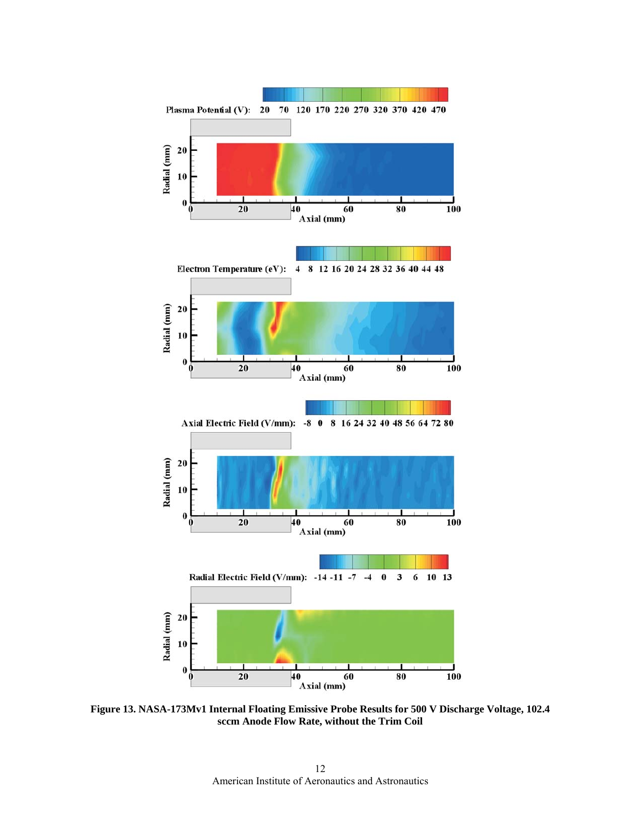

**Figure 13. NASA-173Mv1 Internal Floating Emissive Probe Results for 500 V Discharge Voltage, 102.4 sccm Anode Flow Rate, without the Trim Coil**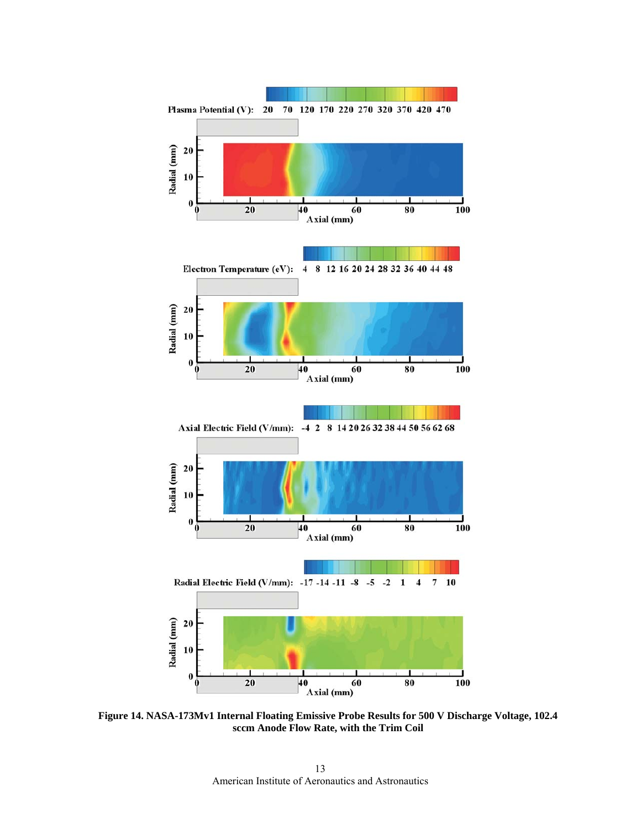

**Figure 14. NASA-173Mv1 Internal Floating Emissive Probe Results for 500 V Discharge Voltage, 102.4 sccm Anode Flow Rate, with the Trim Coil**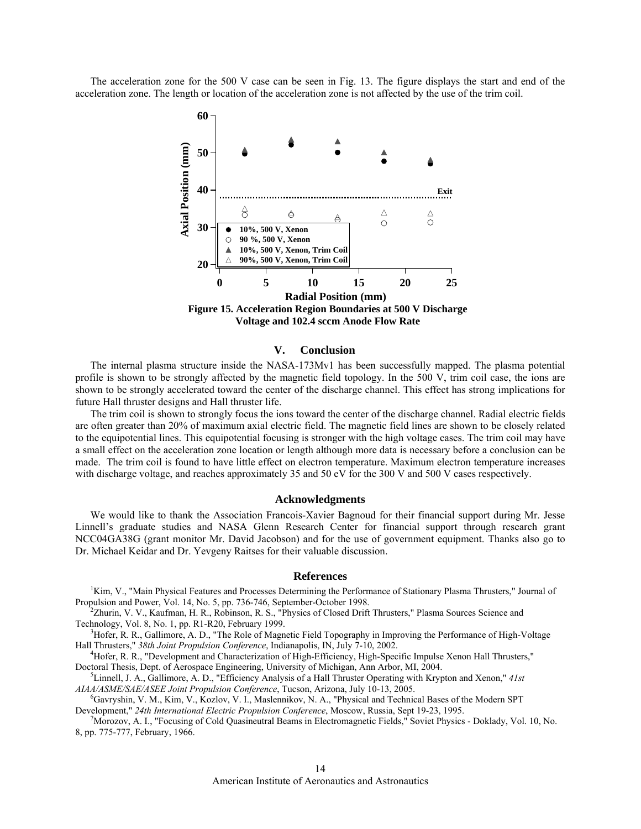The acceleration zone for the 500 V case can be seen in Fig. 13. The figure displays the start and end of the acceleration zone. The length or location of the acceleration zone is not affected by the use of the trim coil.



## **V. Conclusion**

The internal plasma structure inside the NASA-173Mv1 has been successfully mapped. The plasma potential profile is shown to be strongly affected by the magnetic field topology. In the 500 V, trim coil case, the ions are shown to be strongly accelerated toward the center of the discharge channel. This effect has strong implications for future Hall thruster designs and Hall thruster life.

The trim coil is shown to strongly focus the ions toward the center of the discharge channel. Radial electric fields are often greater than 20% of maximum axial electric field. The magnetic field lines are shown to be closely related to the equipotential lines. This equipotential focusing is stronger with the high voltage cases. The trim coil may have a small effect on the acceleration zone location or length although more data is necessary before a conclusion can be made. The trim coil is found to have little effect on electron temperature. Maximum electron temperature increases with discharge voltage, and reaches approximately 35 and 50 eV for the 300 V and 500 V cases respectively.

#### **Acknowledgments**

We would like to thank the Association Francois-Xavier Bagnoud for their financial support during Mr. Jesse Linnell's graduate studies and NASA Glenn Research Center for financial support through research grant NCC04GA38G (grant monitor Mr. David Jacobson) and for the use of government equipment. Thanks also go to Dr. Michael Keidar and Dr. Yevgeny Raitses for their valuable discussion.

## **References**

<sup>1</sup>Kim, V., "Main Physical Features and Processes Determining the Performance of Stationary Plasma Thrusters," Journal of Propulsion and Power, Vol. 14, No. 5, pp. 736-746, September-October 1998. 2

 $2$ Zhurin, V. V., Kaufman, H. R., Robinson, R. S., "Physics of Closed Drift Thrusters," Plasma Sources Science and Technology, Vol. 8, No. 1, pp. R1-R20, February 1999. 3

<sup>3</sup>Hofer, R. R., Gallimore, A. D., "The Role of Magnetic Field Topography in Improving the Performance of High-Voltage Hall Thrusters," *38th Joint Propulsion Conference*, Indianapolis, IN, July 7-10, 2002. 4

<sup>4</sup>Hofer, R. R., "Development and Characterization of High-Efficiency, High-Specific Impulse Xenon Hall Thrusters," Doctoral Thesis, Dept. of Aerospace Engineering, University of Michigan, Ann Arbor, MI, 2004.

Linnell, J. A., Gallimore, A. D., "Efficiency Analysis of a Hall Thruster Operating with Krypton and Xenon," *41st AIAA/ASME/SAE/ASEE Joint Propulsion Conference*, Tucson, Arizona, July 10-13, 2005. 6

<sup>6</sup>Gavryshin, V. M., Kim, V., Kozlov, V. I., Maslennikov, N. A., "Physical and Technical Bases of the Modern SPT Development," *24th International Electric Propulsion Conference*, Moscow, Russia, Sept 19-23, 1995. 7

 $\frac{1}{2}$ Morozov, A. I., "Focusing of Cold Quasineutral Beams in Electromagnetic Fields," Soviet Physics - Doklady, Vol. 10, No. 8, pp. 775-777, February, 1966.